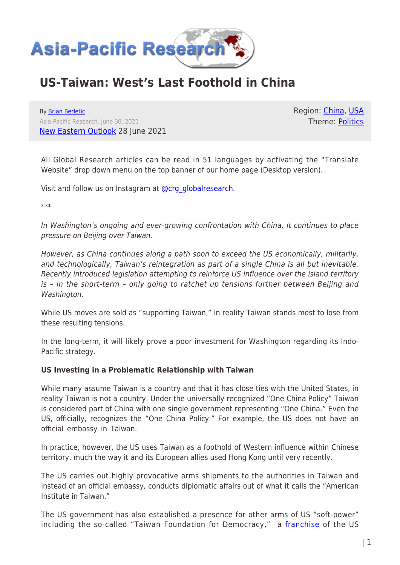

# **US-Taiwan: West's Last Foothold in China**

By [Brian Berletic](https://www.asia-pacificresearch.com/author/brian-berletic) Asia-Pacific Research, June 30, 2021 [New Eastern Outlook](https://journal-neo.org/2021/06/28/us-taiwan-west-s-last-foothold-in-china/) 28 June 2021 Region: [China,](https://www.asia-pacificresearch.com/region/china) [USA](https://www.asia-pacificresearch.com/region/usa) Theme: [Politics](https://www.asia-pacificresearch.com/theme/politics)

All Global Research articles can be read in 51 languages by activating the "Translate Website" drop down menu on the top banner of our home page (Desktop version).

Visit and follow us on Instagram at [@crg\\_globalresearch.](https://www.instagram.com/crg_globalresearch/)

\*\*\*

In Washington's ongoing and ever-growing confrontation with China, it continues to place pressure on Beijing over Taiwan.

However, as China continues along a path soon to exceed the US economically, militarily, and technologically, Taiwan's reintegration as part of a single China is all but inevitable. Recently introduced legislation attempting to reinforce US influence over the island territory is – in the short-term – only going to ratchet up tensions further between Beijing and Washington.

While US moves are sold as "supporting Taiwan," in reality Taiwan stands most to lose from these resulting tensions.

In the long-term, it will likely prove a poor investment for Washington regarding its Indo-Pacific strategy.

## **US Investing in a Problematic Relationship with Taiwan**

While many assume Taiwan is a country and that it has close ties with the United States, in reality Taiwan is not a country. Under the universally recognized "One China Policy" Taiwan is considered part of China with one single government representing "One China." Even the US, officially, recognizes the "One China Policy." For example, the US does not have an official embassy in Taiwan.

In practice, however, the US uses Taiwan as a foothold of Western influence within Chinese territory, much the way it and its European allies used Hong Kong until very recently.

The US carries out highly provocative arms shipments to the authorities in Taiwan and instead of an official embassy, conducts diplomatic affairs out of what it calls the "American Institute in Taiwan."

The US government has also established a presence for other arms of US "soft-power" including the so-called "Taiwan Foundation for Democracy," a [franchise](https://www.ned.org/taiwan-foundation-for-democracy-taipei/) of the US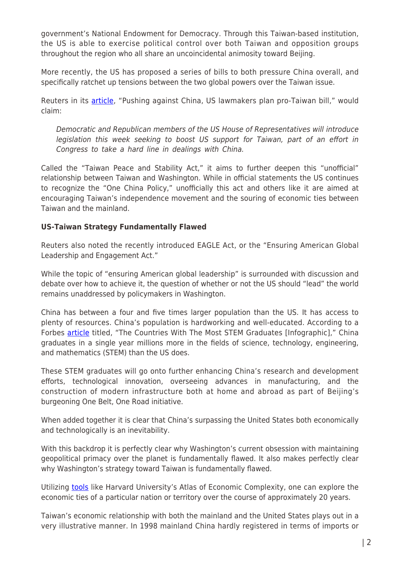government's National Endowment for Democracy. Through this Taiwan-based institution, the US is able to exercise political control over both Taiwan and opposition groups throughout the region who all share an uncoincidental animosity toward Beijing.

More recently, the US has proposed a series of bills to both pressure China overall, and specifically ratchet up tensions between the two global powers over the Taiwan issue.

Reuters in its [article](https://www.reuters.com/world/asia-pacific/pushing-against-china-us-lawmakers-plan-pro-taiwan-bill-2021-06-16/), "Pushing against China, US lawmakers plan pro-Taiwan bill," would claim:

Democratic and Republican members of the US House of Representatives will introduce legislation this week seeking to boost US support for Taiwan, part of an effort in Congress to take a hard line in dealings with China.

Called the "Taiwan Peace and Stability Act," it aims to further deepen this "unofficial" relationship between Taiwan and Washington. While in official statements the US continues to recognize the "One China Policy," unofficially this act and others like it are aimed at encouraging Taiwan's independence movement and the souring of economic ties between Taiwan and the mainland.

# **US-Taiwan Strategy Fundamentally Flawed**

Reuters also noted the recently introduced EAGLE Act, or the "Ensuring American Global Leadership and Engagement Act."

While the topic of "ensuring American global leadership" is surrounded with discussion and debate over how to achieve it, the question of whether or not the US should "lead" the world remains unaddressed by policymakers in Washington.

China has between a four and five times larger population than the US. It has access to plenty of resources. China's population is hardworking and well-educated. According to a Forbes **article** titled, "The Countries With The Most STEM Graduates [Infographic]," China graduates in a single year millions more in the fields of science, technology, engineering, and mathematics (STEM) than the US does.

These STEM graduates will go onto further enhancing China's research and development efforts, technological innovation, overseeing advances in manufacturing, and the construction of modern infrastructure both at home and abroad as part of Beijing's burgeoning One Belt, One Road initiative.

When added together it is clear that China's surpassing the United States both economically and technologically is an inevitability.

With this backdrop it is perfectly clear why Washington's current obsession with maintaining geopolitical primacy over the planet is fundamentally flawed. It also makes perfectly clear why Washington's strategy toward Taiwan is fundamentally flawed.

Utilizing [tools](https://atlas.cid.harvard.edu/explore?country=249&product=undefined&year=2018&tradeDirection=import&productClass=HS&target=Partner&partner=undefined&startYear=undefined) like Harvard University's Atlas of Economic Complexity, one can explore the economic ties of a particular nation or territory over the course of approximately 20 years.

Taiwan's economic relationship with both the mainland and the United States plays out in a very illustrative manner. In 1998 mainland China hardly registered in terms of imports or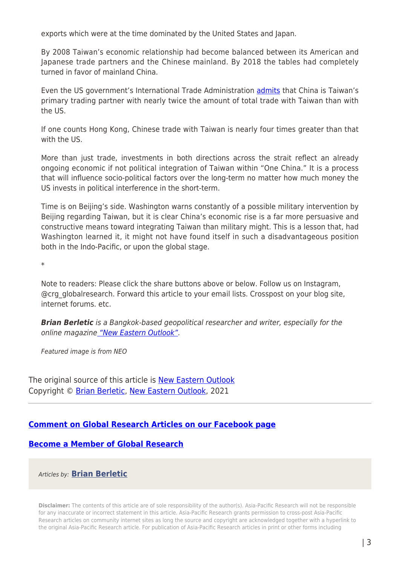exports which were at the time dominated by the United States and Japan.

By 2008 Taiwan's economic relationship had become balanced between its American and Japanese trade partners and the Chinese mainland. By 2018 the tables had completely turned in favor of mainland China.

Even the US government's International Trade Administration **admits** that China is Taiwan's primary trading partner with nearly twice the amount of total trade with Taiwan than with the US.

If one counts Hong Kong, Chinese trade with Taiwan is nearly four times greater than that with the US

More than just trade, investments in both directions across the strait reflect an already ongoing economic if not political integration of Taiwan within "One China." It is a process that will influence socio-political factors over the long-term no matter how much money the US invests in political interference in the short-term.

Time is on Beijing's side. Washington warns constantly of a possible military intervention by Beijing regarding Taiwan, but it is clear China's economic rise is a far more persuasive and constructive means toward integrating Taiwan than military might. This is a lesson that, had Washington learned it, it might not have found itself in such a disadvantageous position both in the Indo-Pacific, or upon the global stage.

\*

Note to readers: Please click the share buttons above or below. Follow us on Instagram, @crg\_globalresearch. Forward this article to your email lists. Crosspost on your blog site, internet forums. etc.

*Brian Berletic* is a Bangkok-based geopolitical researcher and writer, especially for the online magazine ["New Eastern Outlook"](https://journal-neo.org/).

Featured image is from NEO

The original source of this article is [New Eastern Outlook](https://journal-neo.org/2021/06/28/us-taiwan-west-s-last-foothold-in-china/) Copyright © [Brian Berletic,](https://www.asia-pacificresearch.com/author/brian-berletic) [New Eastern Outlook](https://journal-neo.org/2021/06/28/us-taiwan-west-s-last-foothold-in-china/), 2021

# **[Comment on Global Research Articles on our Facebook page](https://www.facebook.com/GlobalResearchCRG)**

## **[Become a Member of Global Research](https://store.globalresearch.ca/member/)**

Articles by: **[Brian Berletic](https://www.asia-pacificresearch.com/author/brian-berletic)**

**Disclaimer:** The contents of this article are of sole responsibility of the author(s). Asia-Pacific Research will not be responsible for any inaccurate or incorrect statement in this article. Asia-Pacific Research grants permission to cross-post Asia-Pacific Research articles on community internet sites as long the source and copyright are acknowledged together with a hyperlink to the original Asia-Pacific Research article. For publication of Asia-Pacific Research articles in print or other forms including